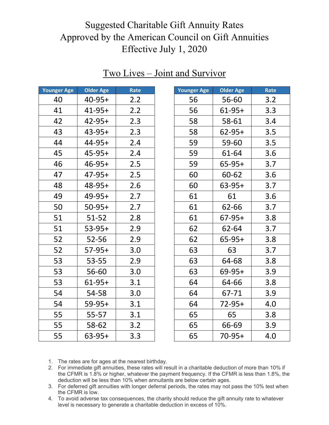| <b>Older Age</b> | Rate |
|------------------|------|
| $40 - 95 +$      | 2.2  |
| $41 - 95 +$      | 2.2  |
| $42 - 95 +$      | 2.3  |
| $43 - 95 +$      | 2.3  |
| 44-95+           | 2.4  |
| $45-95+$         | 2.4  |
| $46 - 95 +$      | 2.5  |
| $47-95+$         | 2.5  |
| $48 - 95 +$      | 2.6  |
| $49-95+$         | 2.7  |
| $50-95+$         | 2.7  |
| $51 - 52$        | 2.8  |
| $53-95+$         | 2.9  |
| 52-56            | 2.9  |
| $57-95+$         | 3.0  |
| 53-55            | 2.9  |
| 56-60            | 3.0  |
| $61-95+$         | 3.1  |
| 54-58            | 3.0  |
| $59 - 95 +$      | 3.1  |
| 55-57            | 3.1  |
| 58-62            | 3.2  |
| $63-95+$         | 3.3  |
|                  |      |

#### Two Lives – Joint and Survivor

| Younger Age | <b>Older Age</b> | Rate |
|-------------|------------------|------|
| 56          | 56-60            | 3.2  |
| 56          | $61-95+$         | 3.3  |
| 58          | 58-61            | 3.4  |
| 58          | $62 - 95 +$      | 3.5  |
| 59          | 59-60            | 3.5  |
| 59          | 61-64            | 3.6  |
| 59          | $65 - 95 +$      | 3.7  |
| 60          | 60-62            | 3.6  |
| 60          | $63 - 95 +$      | 3.7  |
| 61          | 61               | 3.6  |
| 61          | 62-66            | 3.7  |
| 61          | $67-95+$         | 3.8  |
| 62          | 62-64            | 3.7  |
| 62          | 65-95+           | 3.8  |
| 63          | 63               | 3.7  |
| 63          | 64-68            | 3.8  |
| 63          | 69-95+           | 3.9  |
| 64          | 64-66            | 3.8  |
| 64          | 67-71            | 3.9  |
| 64          | 72-95+           | 4.0  |
| 65          | 65               | 3.8  |
| 65          | 66-69            | 3.9  |
| 65          | $70 - 95 +$      | 4.0  |

- 2. For immediate gift annuities, these rates will result in a charitable deduction of more than 10% if the CFMR is 1.8% or higher, whatever the payment frequency. If the CFMR is less than 1.8%, the deduction will be less than 10% when annuitants are below certain ages.
- 3. For deferred gift annuities with longer deferral periods, the rates may not pass the 10% test when the CFMR is low.
- 4. To avoid adverse tax consequences, the charity should reduce the gift annuity rate to whatever level is necessary to generate a charitable deduction in excess of 10%.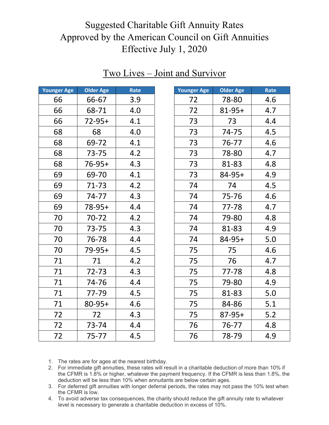| <b>Younger Age</b> | Older Age | Rate |
|--------------------|-----------|------|
| 66                 | 66-67     | 3.9  |
| 66                 | 68-71     | 4.0  |
| 66                 | 72-95+    | 4.1  |
| 68                 | 68        | 4.0  |
| 68                 | 69-72     | 4.1  |
| 68                 | $73 - 75$ | 4.2  |
| 68                 | $76-95+$  | 4.3  |
| 69                 | 69-70     | 4.1  |
| 69                 | 71-73     | 4.2  |
| 69                 | $74 - 77$ | 4.3  |
| 69                 | 78-95+    | 4.4  |
| 70                 | 70-72     | 4.2  |
| 70                 | 73-75     | 4.3  |
| 70                 | 76-78     | 4.4  |
| 70                 | 79-95+    | 4.5  |
| 71                 | 71        | 4.2  |
| 71                 | $72 - 73$ | 4.3  |
| 71                 | 74-76     | 4.4  |
| 71                 | 77-79     | 4.5  |
| 71                 | 80-95+    | 4.6  |
| 72                 | 72        | 4.3  |
| 72                 | 73-74     | 4.4  |
| 72                 | $75 - 77$ | 4.5  |

### Two Lives – Joint and Survivor

| Younger Age | <b>Older Age</b> | Rate |
|-------------|------------------|------|
| 72          | 78-80            | 4.6  |
| 72          | 81-95+           | 4.7  |
| 73          | 73               | 4.4  |
| 73          | 74-75            | 4.5  |
| 73          | 76-77            | 4.6  |
| 73          | 78-80            | 4.7  |
| 73          | 81-83            | 4.8  |
| 73          | 84-95+           | 4.9  |
| 74          | 74               | 4.5  |
| 74          | 75-76            | 4.6  |
| 74          | $77 - 78$        | 4.7  |
| 74          | 79-80            | 4.8  |
| 74          | 81-83            | 4.9  |
| 74          | 84-95+           | 5.0  |
| 75          | 75               | 4.6  |
| 75          | 76               | 4.7  |
| 75          | 77-78            | 4.8  |
| 75          | 79-80            | 4.9  |
| 75          | 81-83            | 5.0  |
| 75          | 84-86            | 5.1  |
| 75          | $87-95+$         | 5.2  |
| 76          | 76-77            | 4.8  |
| 76          | 78-79            | 4.9  |

- 2. For immediate gift annuities, these rates will result in a charitable deduction of more than 10% if the CFMR is 1.8% or higher, whatever the payment frequency. If the CFMR is less than 1.8%, the deduction will be less than 10% when annuitants are below certain ages.
- 3. For deferred gift annuities with longer deferral periods, the rates may not pass the 10% test when the CFMR is low.
- 4. To avoid adverse tax consequences, the charity should reduce the gift annuity rate to whatever level is necessary to generate a charitable deduction in excess of 10%.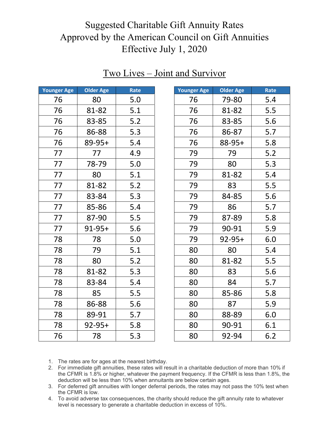| Younger Age | <b>Older Age</b> | Rate |
|-------------|------------------|------|
| 76          | 80               | 5.0  |
| 76          | 81-82            | 5.1  |
| 76          | 83-85            | 5.2  |
| 76          | 86-88            | 5.3  |
| 76          | 89-95+           | 5.4  |
| 77          | 77               | 4.9  |
| 77          | 78-79            | 5.0  |
| 77          | 80               | 5.1  |
| 77          | 81-82            | 5.2  |
| 77          | 83-84            | 5.3  |
| 77          | 85-86            | 5.4  |
| 77          | 87-90            | 5.5  |
| 77          | $91 - 95 +$      | 5.6  |
| 78          | 78               | 5.0  |
| 78          | 79               | 5.1  |
| 78          | 80               | 5.2  |
| 78          | 81-82            | 5.3  |
| 78          | 83-84            | 5.4  |
| 78          | 85               | 5.5  |
| 78          | 86-88            | 5.6  |
| 78          | 89-91            | 5.7  |
| 78          | $92 - 95 +$      | 5.8  |
| 76          | 78               | 5.3  |

### Two Lives – Joint and Survivor

| <b>Younger Age</b> | Older Age   | Rate |
|--------------------|-------------|------|
| 76                 | 79-80       | 5.4  |
| 76                 | 81-82       | 5.5  |
| 76                 | 83-85       | 5.6  |
| 76                 | 86-87       | 5.7  |
| 76                 | 88-95+      | 5.8  |
| 79                 | 79          | 5.2  |
| 79                 | 80          | 5.3  |
| 79                 | 81-82       | 5.4  |
| 79                 | 83          | 5.5  |
| 79                 | 84-85       | 5.6  |
| 79                 | 86          | 5.7  |
| 79                 | 87-89       | 5.8  |
| 79                 | 90-91       | 5.9  |
| 79                 | $92 - 95 +$ | 6.0  |
| 80                 | 80          | 5.4  |
| 80                 | 81-82       | 5.5  |
| 80                 | 83          | 5.6  |
| 80                 | 84          | 5.7  |
| 80                 | 85-86       | 5.8  |
| 80                 | 87          | 5.9  |
| 80                 | 88-89       | 6.0  |
| 80                 | 90-91       | 6.1  |
| 80                 | 92-94       | 6.2  |

- 2. For immediate gift annuities, these rates will result in a charitable deduction of more than 10% if the CFMR is 1.8% or higher, whatever the payment frequency. If the CFMR is less than 1.8%, the deduction will be less than 10% when annuitants are below certain ages.
- 3. For deferred gift annuities with longer deferral periods, the rates may not pass the 10% test when the CFMR is low.
- 4. To avoid adverse tax consequences, the charity should reduce the gift annuity rate to whatever level is necessary to generate a charitable deduction in excess of 10%.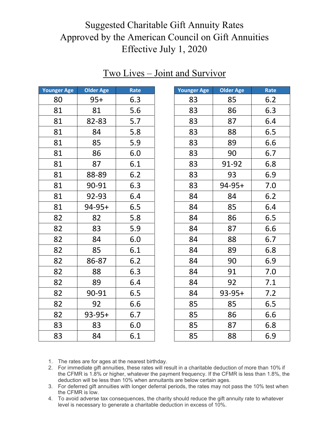| <b>Younger Age</b> | Older Age   | Rate |
|--------------------|-------------|------|
| 80                 | $95+$       | 6.3  |
| 81                 | 81          | 5.6  |
| 81                 | 82-83       | 5.7  |
| 81                 | 84          | 5.8  |
| 81                 | 85          | 5.9  |
| 81                 | 86          | 6.0  |
| 81                 | 87          | 6.1  |
| 81                 | 88-89       | 6.2  |
| 81                 | 90-91       | 6.3  |
| 81                 | 92-93       | 6.4  |
| 81                 | $94-95+$    | 6.5  |
| 82                 | 82          | 5.8  |
| 82                 | 83          | 5.9  |
| 82                 | 84          | 6.0  |
| 82                 | 85          | 6.1  |
| 82                 | 86-87       | 6.2  |
| 82                 | 88          | 6.3  |
| 82                 | 89          | 6.4  |
| 82                 | 90-91       | 6.5  |
| 82                 | 92          | 6.6  |
| 82                 | $93 - 95 +$ | 6.7  |
| 83                 | 83          | 6.0  |
| 83                 | 84          | 6.1  |

### Two Lives – Joint and Survivor

| <b>Younger Age</b> | Older Age   | Rate |
|--------------------|-------------|------|
| 83                 | 85          | 6.2  |
| 83                 | 86          | 6.3  |
| 83                 | 87          | 6.4  |
| 83                 | 88          | 6.5  |
| 83                 | 89          | 6.6  |
| 83                 | 90          | 6.7  |
| 83                 | 91-92       | 6.8  |
| 83                 | 93          | 6.9  |
| 83                 | $94 - 95 +$ | 7.0  |
| 84                 | 84          | 6.2  |
| 84                 | 85          | 6.4  |
| 84                 | 86          | 6.5  |
| 84                 | 87          | 6.6  |
| 84                 | 88          | 6.7  |
| 84                 | 89          | 6.8  |
| 84                 | 90          | 6.9  |
| 84                 | 91          | 7.0  |
| 84                 | 92          | 7.1  |
| 84                 | $93-95+$    | 7.2  |
| 85                 | 85          | 6.5  |
| 85                 | 86          | 6.6  |
| 85                 | 87          | 6.8  |
| 85                 | 88          | 6.9  |

- 2. For immediate gift annuities, these rates will result in a charitable deduction of more than 10% if the CFMR is 1.8% or higher, whatever the payment frequency. If the CFMR is less than 1.8%, the deduction will be less than 10% when annuitants are below certain ages.
- 3. For deferred gift annuities with longer deferral periods, the rates may not pass the 10% test when the CFMR is low.
- 4. To avoid adverse tax consequences, the charity should reduce the gift annuity rate to whatever level is necessary to generate a charitable deduction in excess of 10%.